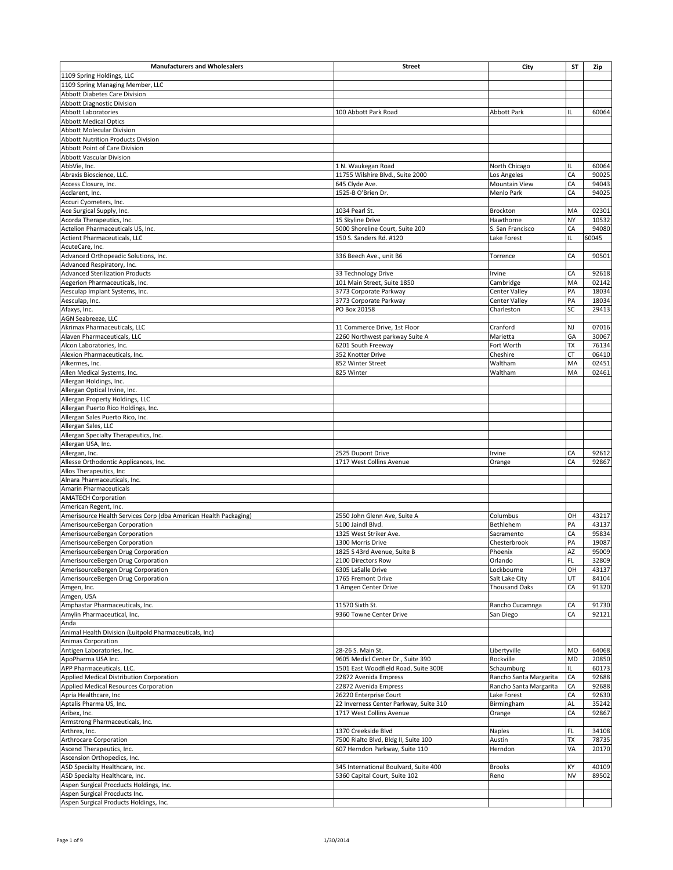| <b>Manufacturers and Wholesalers</b>                                | <b>Street</b>                                                          | City                   | ST              | Zip            |
|---------------------------------------------------------------------|------------------------------------------------------------------------|------------------------|-----------------|----------------|
| 1109 Spring Holdings, LLC                                           |                                                                        |                        |                 |                |
| 1109 Spring Managing Member, LLC                                    |                                                                        |                        |                 |                |
| Abbott Diabetes Care Division                                       |                                                                        |                        |                 |                |
| <b>Abbott Diagnostic Division</b>                                   |                                                                        |                        |                 |                |
| Abbott Laboratories                                                 | 100 Abbott Park Road                                                   | <b>Abbott Park</b>     | IL              | 60064          |
| <b>Abbott Medical Optics</b>                                        |                                                                        |                        |                 |                |
| <b>Abbott Molecular Division</b>                                    |                                                                        |                        |                 |                |
| Abbott Nutrition Products Division<br>Abbott Point of Care Division |                                                                        |                        |                 |                |
| <b>Abbott Vascular Division</b>                                     |                                                                        |                        |                 |                |
| AbbVie, Inc.                                                        | 1 N. Waukegan Road                                                     | North Chicago          |                 | 60064          |
| Abraxis Bioscience, LLC.                                            | 11755 Wilshire Blvd., Suite 2000                                       | Los Angeles            | CA              | 90025          |
| Access Closure, Inc.                                                | 645 Clyde Ave.                                                         | Mountain View          | CA              | 94043          |
| Acclarent, Inc.                                                     | 1525-B O'Brien Dr.                                                     | Menlo Park             | СA              | 94025          |
| Accuri Cyometers, Inc.                                              |                                                                        |                        |                 |                |
| Ace Surgical Supply, Inc.                                           | 1034 Pearl St.                                                         | Brockton               | MA              | 02301          |
| Acorda Therapeutics, Inc.                                           | 15 Skyline Drive                                                       | Hawthorne              | NY              | 10532          |
| Actelion Pharmaceuticals US, Inc.                                   | 5000 Shoreline Court, Suite 200                                        | S. San Francisco       | СA              | 94080          |
| Actient Pharmaceuticals, LLC                                        | 150 S. Sanders Rd. #120                                                | Lake Forest            | IL              | 60045          |
| AcuteCare, Inc.                                                     |                                                                        |                        |                 |                |
| Advanced Orthopeadic Solutions, Inc.                                | 336 Beech Ave., unit B6                                                | Torrence               | СA              | 90501          |
| Advanced Respiratory, Inc.                                          |                                                                        |                        |                 |                |
| <b>Advanced Sterilization Products</b>                              | 33 Technology Drive                                                    | Irvine                 | CA              | 92618          |
| Aegerion Pharmaceuticals, Inc.                                      | 101 Main Street, Suite 1850                                            | Cambridge              | MA              | 02142          |
| Aesculap Implant Systems, Inc.                                      | 3773 Corporate Parkway                                                 | <b>Center Valley</b>   | PA              | 18034          |
| Aesculap, Inc.                                                      | 3773 Corporate Parkway                                                 | <b>Center Valley</b>   | PA              | 18034          |
| Afaxys, Inc.                                                        | PO Box 20158                                                           | Charleston             | SC              | 29413          |
| AGN Seabreeze, LLC                                                  |                                                                        |                        |                 |                |
| Akrimax Pharmaceuticals, LLC                                        | 11 Commerce Drive, 1st Floor                                           | Cranford               | NJ              | 07016          |
| Alaven Pharmaceuticals, LLC                                         | 2260 Northwest parkway Suite A                                         | Marietta               | GA              | 30067          |
| Alcon Laboratories, Inc.                                            | 6201 South Freeway                                                     | Fort Worth             | TХ              | 76134          |
| Alexion Pharmaceuticals, Inc.                                       | 352 Knotter Drive                                                      | Cheshire               | СT              | 06410          |
| Alkermes, Inc.                                                      | 852 Winter Street                                                      | Waltham                | MA              | 02451          |
| Allen Medical Systems, Inc.                                         | 825 Winter                                                             | Waltham                | MA              | 02461          |
| Allergan Holdings, Inc.                                             |                                                                        |                        |                 |                |
| Allergan Optical Irvine, Inc.                                       |                                                                        |                        |                 |                |
| Allergan Property Holdings, LLC                                     |                                                                        |                        |                 |                |
| Allergan Puerto Rico Holdings, Inc.                                 |                                                                        |                        |                 |                |
| Allergan Sales Puerto Rico, Inc.<br>Allergan Sales, LLC             |                                                                        |                        |                 |                |
| Allergan Specialty Therapeutics, Inc.                               |                                                                        |                        |                 |                |
| Allergan USA, Inc.                                                  |                                                                        |                        |                 |                |
| Allergan, Inc.                                                      | 2525 Dupont Drive                                                      | Irvine                 | СA              | 92612          |
| Allesse Orthodontic Applicances, Inc.                               | 1717 West Collins Avenue                                               | Orange                 | CA              | 92867          |
| Allos Therapeutics, Inc                                             |                                                                        |                        |                 |                |
| Alnara Pharmaceuticals, Inc.                                        |                                                                        |                        |                 |                |
| <b>Amarin Pharmaceuticals</b>                                       |                                                                        |                        |                 |                |
| <b>AMATECH Corporation</b>                                          |                                                                        |                        |                 |                |
| American Regent, Inc.                                               |                                                                        |                        |                 |                |
| Amerisource Health Services Corp (dba American Health Packaging)    | 2550 John Glenn Ave, Suite A                                           | Columbus               | ΟН              | 43217          |
| AmerisourceBergan Corporation                                       | 5100 Jaindl Blvd.                                                      | Bethlehem              | PA              | 43137          |
| AmerisourceBergan Corporation                                       | 1325 West Striker Ave.                                                 | Sacramento             | СA              | 95834          |
| AmerisourceBergen Corporation                                       | 1300 Morris Drive                                                      | Chesterbrook           | PA              | 19087          |
| AmerisourceBergen Drug Corporation                                  | 1825 S 43rd Avenue, Suite B                                            | Phoenix                | AZ              | 95009          |
| AmerisourceBergen Drug Corporation                                  | 2100 Directors Row                                                     | Orlando                | FL              | 32809          |
| AmerisourceBergen Drug Corporation                                  | 6305 LaSalle Drive                                                     | Lockbourne             | OH              | 43137          |
| AmerisourceBergen Drug Corporation                                  | 1765 Fremont Drive                                                     | Salt Lake City         | UT              | 84104          |
| Amgen, Inc.                                                         | 1 Amgen Center Drive                                                   | <b>Thousand Oaks</b>   | CA              | 91320          |
| Amgen, USA                                                          |                                                                        |                        |                 |                |
| Amphastar Pharmaceuticals, Inc.                                     | 11570 Sixth St.                                                        | Rancho Cucamnga        | СA              | 91730          |
| Amylin Pharmaceutical, Inc                                          | 9360 Towne Center Drive                                                | San Diego              | СA              | 92121          |
| Anda                                                                |                                                                        |                        |                 |                |
| Animal Health Division (Luitpold Pharmaceuticals, Inc)              |                                                                        |                        |                 |                |
| Animas Corporation                                                  |                                                                        |                        |                 |                |
| Antigen Laboratories, Inc.                                          | 28-26 S. Main St.                                                      | Libertyville           | <b>MO</b>       | 64068          |
| ApoPharma USA Inc.                                                  | 9605 Medicl Center Dr., Suite 390                                      | Rockville              | MD              | 20850          |
| APP Pharmaceuticals, LLC.                                           | 1501 East Woodfield Road, Suite 300E                                   | Schaumburg             | IL              | 60173          |
| Applied Medical Distribution Corporation                            | 22872 Avenida Empress                                                  | Rancho Santa Margarita | CA              | 92688          |
| Applied Medical Resources Corporation                               | 22872 Avenida Empress                                                  | Rancho Santa Margarita | СA              | 92688          |
| Apria Healthcare, Inc                                               | 26220 Enterprise Court                                                 | Lake Forest            | CA              | 92630          |
| Aptalis Pharma US, Inc.                                             | 22 Inverness Center Parkway, Suite 310                                 | Birmingham             | AL              | 35242          |
| Aribex, Inc.                                                        | 1717 West Collins Avenue                                               | Orange                 | СA              | 92867          |
| Armstrong Pharmaceuticals, Inc.                                     |                                                                        |                        |                 |                |
| Arthrex, Inc.                                                       | 1370 Creekside Blvd                                                    | <b>Naples</b>          | FL              | 34108          |
| Arthrocare Corporation                                              | 7500 Rialto Blvd, Bldg II, Suite 100                                   | Austin                 | ТX              | 78735          |
| Ascend Therapeutics, Inc.                                           | 607 Herndon Parkway, Suite 110                                         | Herndon                | VA              | 20170          |
| Ascension Orthopedics, Inc.                                         |                                                                        |                        |                 |                |
| ASD Specialty Healthcare, Inc.<br>ASD Specialty Healthcare, Inc.    | 345 International Boulvard, Suite 400<br>5360 Capital Court, Suite 102 | <b>Brooks</b><br>Reno  | ΚY<br><b>NV</b> | 40109<br>89502 |
| Aspen Surgical Procducts Holdings, Inc.                             |                                                                        |                        |                 |                |
| Aspen Surgical Procducts Inc.                                       |                                                                        |                        |                 |                |
| Aspen Surgical Products Holdings, Inc.                              |                                                                        |                        |                 |                |
|                                                                     |                                                                        |                        |                 |                |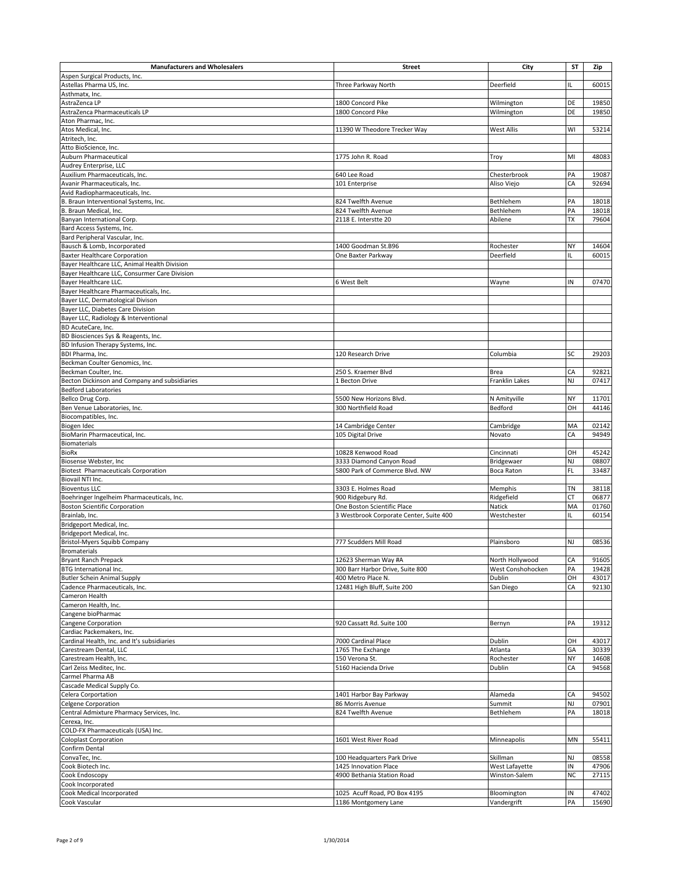| <b>Manufacturers and Wholesalers</b>                                                 | <b>Street</b>                                  | City                     | ST       | Zip            |
|--------------------------------------------------------------------------------------|------------------------------------------------|--------------------------|----------|----------------|
| Aspen Surgical Products, Inc.                                                        |                                                |                          |          |                |
| Astellas Pharma US, Inc.<br>Asthmatx, Inc.                                           | Three Parkway North                            | Deerfield                | IL       | 60015          |
| AstraZenca LP                                                                        | 1800 Concord Pike                              | Wilmington               | DE       | 19850          |
| AstraZenca Pharmaceuticals LP                                                        | 1800 Concord Pike                              | Wilmington               | DE       | 19850          |
| Aton Pharmac, Inc.                                                                   |                                                |                          |          |                |
| Atos Medical, Inc.                                                                   | 11390 W Theodore Trecker Way                   | <b>West Allis</b>        | WI       | 53214          |
| Atritech, Inc.                                                                       |                                                |                          |          |                |
| Atto BioScience, Inc.                                                                |                                                |                          |          |                |
| Auburn Pharmaceutical                                                                | 1775 John R. Road                              | Troy                     | MI       | 48083          |
| Audrey Enterprise, LLC<br>Auxilium Pharmaceuticals, Inc.                             | 640 Lee Road                                   | Chesterbrook             | PA       | 19087          |
| Avanir Pharmaceuticals, Inc.                                                         | 101 Enterprise                                 | Aliso Viejo              | СA       | 92694          |
| Avid Radiopharmaceuticals, Inc.                                                      |                                                |                          |          |                |
| B. Braun Interventional Systems, Inc.                                                | 824 Twelfth Avenue                             | Bethlehem                | PA       | 18018          |
| B. Braun Medical, Inc.                                                               | 824 Twelfth Avenue                             | Bethlehem                | PA       | 18018          |
| Banyan International Corp.                                                           | 2118 E. Interstte 20                           | Abilene                  | ТX       | 79604          |
| Bard Access Systems, Inc.                                                            |                                                |                          |          |                |
| Bard Peripheral Vascular, Inc.                                                       |                                                |                          |          |                |
| Bausch & Lomb, Incorporated                                                          | 1400 Goodman St.B96                            | Rochester                | ΝY       | 14604          |
| <b>Baxter Healthcare Corporation</b><br>Bayer Healthcare LLC, Animal Health Division | One Baxter Parkway                             | Deerfield                | IL       | 60015          |
| Bayer Healthcare LLC, Consurmer Care Division                                        |                                                |                          |          |                |
| Bayer Healthcare LLC.                                                                | 6 West Belt                                    | Wayne                    | IN       | 07470          |
| Bayer Healthcare Pharmaceuticals, Inc.                                               |                                                |                          |          |                |
| Bayer LLC, Dermatological Divison                                                    |                                                |                          |          |                |
| Bayer LLC, Diabetes Care Division                                                    |                                                |                          |          |                |
| Bayer LLC, Radiology & Interventional                                                |                                                |                          |          |                |
| BD AcuteCare, Inc.                                                                   |                                                |                          |          |                |
| BD Biosciences Sys & Reagents, Inc.                                                  |                                                |                          |          |                |
| BD Infusion Therapy Systems, Inc.<br>BDI Pharma, Inc.                                |                                                |                          |          |                |
| Beckman Coulter Genomics, Inc.                                                       | 120 Research Drive                             | Columbia                 | SC       | 29203          |
| Beckman Coulter, Inc.                                                                | 250 S. Kraemer Blvd                            | Brea                     | СA       | 92821          |
| Becton Dickinson and Company and subsidiaries                                        | 1 Becton Drive                                 | Franklin Lakes           | NJ       | 07417          |
| <b>Bedford Laboratories</b>                                                          |                                                |                          |          |                |
| Bellco Drug Corp.                                                                    | 5500 New Horizons Blvd.                        | N Amityville             | NΥ       | 11701          |
| Ben Venue Laboratories, Inc.                                                         | 300 Northfield Road                            | Bedford                  | OН       | 44146          |
| Biocompatibles, Inc.                                                                 |                                                |                          |          |                |
| Biogen Idec                                                                          | 14 Cambridge Center                            | Cambridge                | МA       | 02142          |
| BioMarin Pharmaceutical, Inc.                                                        | 105 Digital Drive                              | Novato                   | СA       | 94949          |
| <b>Biomaterials</b>                                                                  |                                                |                          |          |                |
| BioRx<br>Biosense Webster, Inc                                                       | 10828 Kenwood Road<br>3333 Diamond Canyon Road | Cincinnati<br>Bridgewaer | OН<br>NJ | 45242<br>08807 |
| <b>Biotest Pharmaceuticals Corporation</b>                                           | 5800 Park of Commerce Blvd. NW                 | Boca Raton               | FL       | 33487          |
| Biovail NTI Inc.                                                                     |                                                |                          |          |                |
| <b>Bioventus LLC</b>                                                                 | 3303 E. Holmes Road                            | Memphis                  | ΤN       | 38118          |
| Boehringer Ingelheim Pharmaceuticals, Inc.                                           | 900 Ridgebury Rd.                              | Ridgefield               | СT       | 06877          |
| <b>Boston Scientific Corporation</b>                                                 | One Boston Scientific Place                    | Natick                   | MA       | 01760          |
| Brainlab, Inc.                                                                       | 3 Westbrook Corporate Center, Suite 400        | Westchester              | IL       | 60154          |
| Bridgeport Medical, Inc.                                                             |                                                |                          |          |                |
| Bridgeport Medical, Inc.                                                             | 777 Scudders Mill Road                         | Plainsboro               | NJ       |                |
| Bristol-Myers Squibb Company<br><b>Bromaterials</b>                                  |                                                |                          |          | 08536          |
| <b>Bryant Ranch Prepack</b>                                                          | 12623 Sherman Way #A                           | North Hollywood          | СA       | 91605          |
| BTG International Inc.                                                               | 300 Barr Harbor Drive, Suite 800               | West Conshohocken        | PA       | 19428          |
| <b>Butler Schein Animal Supply</b>                                                   | 400 Metro Place N.                             | Dublin                   | ΟН       | 43017          |
| Cadence Pharmaceuticals, Inc.                                                        | 12481 High Bluff, Suite 200                    | San Diego                | СA       | 92130          |
| Cameron Health                                                                       |                                                |                          |          |                |
| Cameron Health, Inc.                                                                 |                                                |                          |          |                |
| Cangene bioPharmac                                                                   |                                                |                          |          |                |
| Cangene Corporation<br>Cardiac Packemakers, Inc.                                     | 920 Cassatt Rd. Suite 100                      | Bernyn                   | PA       | 19312          |
| Cardinal Health, Inc. and It's subsidiaries                                          | 7000 Cardinal Place                            | Dublin                   | он       | 43017          |
| Carestream Dental, LLC                                                               | 1765 The Exchange                              | Atlanta                  | GA       | 30339          |
| Carestream Health, Inc.                                                              | 150 Verona St.                                 | Rochester                | ΝY       | 14608          |
| Carl Zeiss Meditec, Inc.                                                             | 5160 Hacienda Drive                            | Dublin                   | СA       | 94568          |
| Carmel Pharma AB                                                                     |                                                |                          |          |                |
| Cascade Medical Supply Co.                                                           |                                                |                          |          |                |
| Celera Corportation                                                                  | 1401 Harbor Bay Parkway                        | Alameda                  | СA       | 94502          |
| <b>Celgene Corporation</b>                                                           | 86 Morris Avenue                               | Summit                   | NJ       | 07901          |
| Central Admixture Pharmacy Services, Inc.                                            | 824 Twelfth Avenue                             | Bethlehem                | PA       | 18018          |
| Cerexa, Inc.<br>COLD-FX Pharmaceuticals (USA) Inc.                                   |                                                |                          |          |                |
| <b>Coloplast Corporation</b>                                                         | 1601 West River Road                           | Minneapolis              | MN       | 55411          |
| Confirm Dental                                                                       |                                                |                          |          |                |
| ConvaTec, Inc.                                                                       | 100 Headquarters Park Drive                    | Skillman                 | NJ       | 08558          |
| Cook Biotech Inc.                                                                    | 1425 Innovation Place                          | West Lafayette           | ΙN       | 47906          |
| Cook Endoscopy                                                                       | 4900 Bethania Station Road                     | Winston-Salem            | NC       | 27115          |
| Cook Incorporated                                                                    |                                                |                          |          |                |
| Cook Medical Incorporated                                                            | 1025 Acuff Road, PO Box 4195                   | Bloomington              | IN       | 47402          |
| Cook Vascular                                                                        | 1186 Montgomery Lane                           | Vandergrift              | PA       | 15690          |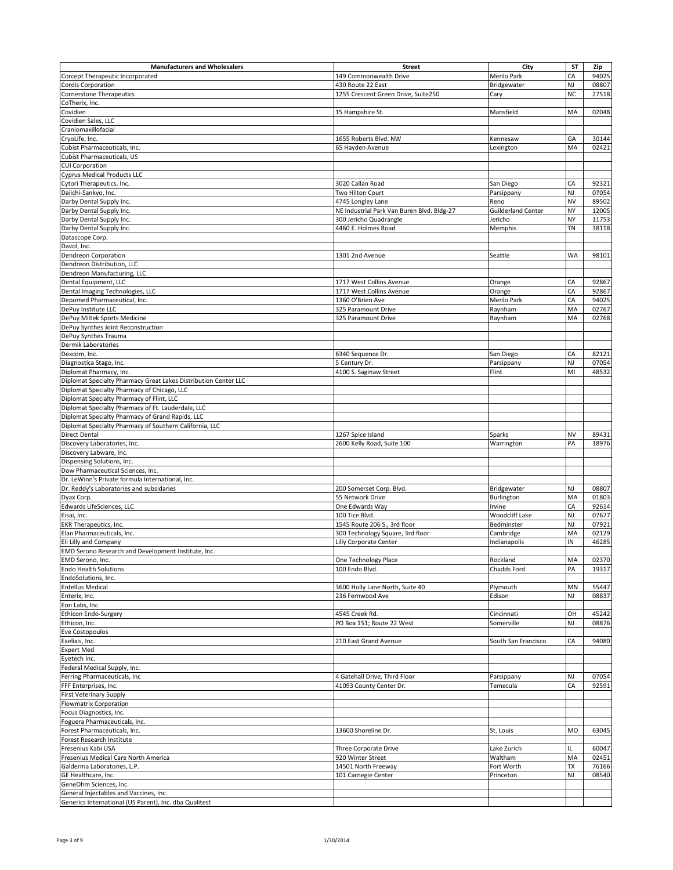| <b>Manufacturers and Wholesalers</b>                            | <b>Street</b>                              | City                      | ST | Zip            |
|-----------------------------------------------------------------|--------------------------------------------|---------------------------|----|----------------|
| Corcept Therapeutic Incorporated                                | 149 Commonwealth Drive                     | Menlo Park                | СA | 94025          |
| Cordis Corporation                                              | 430 Route 22 East                          | Bridgewater               | NJ | 08807          |
| <b>Cornerstone Therapeutics</b>                                 | 1255 Crescent Green Drive, Suite250        | Cary                      | NC | 27518          |
| CoTherix, Inc.                                                  |                                            |                           |    |                |
| Covidien                                                        | 15 Hampshire St.                           | Mansfield                 | MA | 02048          |
| Covidien Sales, LLC                                             |                                            |                           |    |                |
| Craniomaxillofacial                                             |                                            |                           |    |                |
| CryoLife, Inc.                                                  |                                            |                           | GA |                |
| Cubist Pharmaceuticals, Inc.                                    | 1655 Roberts Blvd. NW<br>65 Hayden Avenue  | Kennesaw                  | МA | 30144<br>02421 |
|                                                                 |                                            | Lexington                 |    |                |
| Cubist Pharmaceuticals, US                                      |                                            |                           |    |                |
| <b>CUI Corporation</b>                                          |                                            |                           |    |                |
| <b>Cyprus Medical Products LLC</b>                              |                                            |                           |    |                |
| Cytori Therapeutics, Inc.                                       | 3020 Callan Road                           | San Diego                 | CA | 92321          |
| Daiichi-Sankyo, Inc.                                            | Two Hilton Court                           | Parsippany                | NJ | 07054          |
| Darby Dental Supply Inc.                                        | 4745 Longley Lane                          | Reno                      | NV | 89502          |
| Darby Dental Supply Inc.                                        | NE Industrial Park Van Buren Blvd. Bldg-27 | <b>Guilderland Center</b> | NΥ | 12005          |
| Darby Dental Supply Inc.                                        | 300 Jericho Quadrangle                     | Jericho                   | ΝY | 11753          |
| Darby Dental Supply Inc.                                        | 4460 E. Holmes Road                        | Memphis                   | ΤN | 38118          |
| Datascope Corp.                                                 |                                            |                           |    |                |
| Davol, Inc.                                                     |                                            |                           |    |                |
| Dendreon Corporation                                            | 1301 2nd Avenue                            | Seattle                   | WA | 98101          |
| Dendreon Distribution, LLC                                      |                                            |                           |    |                |
| Dendreon Manufacturing, LLC                                     |                                            |                           |    |                |
| Dental Equipment, LLC                                           | 1717 West Collins Avenue                   | Orange                    | СA | 92867          |
| Dental Imaging Technologies, LLC                                | 1717 West Collins Avenue                   | Orange                    | CА | 92867          |
| Depomed Pharmaceutical, Inc.                                    | 1360 O'Brien Ave                           | Menlo Park                | CA | 94025          |
| DePuy Institute LLC                                             | 325 Paramount Drive                        | Raynham                   | MA | 02767          |
| DePuy Miltek Sports Medicine                                    | 325 Paramount Drive                        | Raynham                   | МA | 02768          |
| DePuy Synthes Joint Reconstruction                              |                                            |                           |    |                |
| DePuy Synthes Trauma                                            |                                            |                           |    |                |
| Dermik Laboratories                                             |                                            |                           |    |                |
| Dexcom, Inc.                                                    | 6340 Sequence Dr.                          | San Diego                 | СA | 82121          |
| Diagnostica Stago, Inc.                                         | 5 Century Dr.                              | Parsippany                | NJ | 07054          |
| Diplomat Pharmacy, Inc.                                         | 4100 S. Saginaw Street                     | Flint                     | MI | 48532          |
| Diplomat Specialty Pharmacy Great Lakes Distribution Center LLC |                                            |                           |    |                |
| Diplomat Specialty Pharmacy of Chicago, LLC                     |                                            |                           |    |                |
| Diplomat Specialty Pharmacy of Flint, LLC                       |                                            |                           |    |                |
| Diplomat Specialty Pharmacy of Ft. Lauderdale, LLC              |                                            |                           |    |                |
|                                                                 |                                            |                           |    |                |
| Diplomat Specialty Pharmacy of Grand Rapids, LLC                |                                            |                           |    |                |
| Diplomat Specialty Pharmacy of Southern California, LLC         |                                            |                           |    |                |
| <b>Direct Dental</b>                                            | 1267 Spice Island                          | Sparks                    | NV | 89431          |
| Discovery Laboratories, Inc.                                    | 2600 Kelly Road, Suite 100                 | Warrington                | PA | 18976          |
| Discovery Labware, Inc.                                         |                                            |                           |    |                |
| Dispensing Solutions, Inc.                                      |                                            |                           |    |                |
| Dow Pharmaceutical Sciences, Inc.                               |                                            |                           |    |                |
| Dr. LeWinn's Private formula International, Inc.                |                                            |                           |    |                |
| Dr. Reddy's Laboratories and subsidaries                        | 200 Somerset Corp. Blvd.                   | Bridgewater               | NJ | 08807          |
| Dyax Corp.                                                      | 55 Network Drive                           | Burlington                | MA | 01803          |
| Edwards LifeSciences, LLC                                       | One Edwards Way                            | Irvine                    | СA | 92614          |
| Eisai, Inc.                                                     | 100 Tice Blvd.                             | Woodcliff Lake            | NJ | 07677          |
| EKR Therapeutics, Inc.                                          | 1545 Route 206 S., 3rd floor               | Bedminster                | NJ | 07921          |
| Elan Pharmaceuticals, Inc.                                      | 300 Technology Square, 3rd floor           | Cambridge                 | MA | 02129          |
| Eli Lilly and Company                                           | Lilly Corporate Center                     | Indianapolis              | IN | 46285          |
| EMD Serono Research and Development Institute, Inc.             |                                            |                           |    |                |
| EMD Serono, Inc.                                                | One Technology Place                       | Rockland                  | MA | 02370          |
| <b>Endo Health Solutions</b>                                    | 100 Endo Blvd.                             | Chadds Ford               | PA | 19317          |
| EndoSolutions, Inc.                                             |                                            |                           |    |                |
| <b>Entellus Medical</b>                                         | 3600 Holly Lane North, Suite 40            | Plymouth                  | ΜN | 55447          |
| Enterix, Inc.                                                   | 236 Fernwood Ave                           | Edison                    | NJ | 08837          |
| Eon Labs, Inc.                                                  |                                            |                           |    |                |
| Ethicon Endo-Surgery                                            | 4545 Creek Rd.                             | Cincinnati                | ОН | 45242          |
| Ethicon, Inc.                                                   | PO Box 151; Route 22 West                  | Somerville                | NJ | 08876          |
| Eve Costopoulos                                                 |                                            |                           |    |                |
| Exelixis, Inc.                                                  | 210 East Grand Avenue                      | South San Francisco       | СA | 94080          |
| <b>Expert Med</b>                                               |                                            |                           |    |                |
| Eyetech Inc.                                                    |                                            |                           |    |                |
| Federal Medical Supply, Inc.                                    |                                            |                           |    |                |
| Ferring Pharmaceuticals, Inc                                    | 4 Gatehall Drive, Third Floor              | Parsippany                | NJ | 07054          |
| FFF Enterprises, Inc.                                           | 41093 County Center Dr.                    | Temecula                  | CA | 92591          |
| <b>First Veterinary Supply</b>                                  |                                            |                           |    |                |
| <b>Flowmatrix Corporation</b>                                   |                                            |                           |    |                |
| Focus Diagnostics, Inc.                                         |                                            |                           |    |                |
| Foguera Pharmaceuticals, Inc.                                   |                                            |                           |    |                |
| Forest Pharmaceuticals, Inc.                                    | 13600 Shoreline Dr.                        | St. Louis                 | MO | 63045          |
|                                                                 |                                            |                           |    |                |
| Forest Research Institute                                       |                                            |                           |    |                |
| Fresenius Kabi USA                                              | Three Corporate Drive                      | Lake Zurich               | IL | 60047          |
| Fresenius Medical Care North America                            | 920 Winter Street                          | Waltham                   | ΜA | 02451          |
| Galderma Laboratories, L.P.                                     | 14501 North Freeway                        | Fort Worth                | ТX | 76166          |
| GE Healthcare, Inc.                                             | 101 Carnegie Center                        | Princeton                 | NJ | 08540          |
| GeneOhm Sciences, Inc.                                          |                                            |                           |    |                |
| General Injectables and Vaccines, Inc.                          |                                            |                           |    |                |
| Generics International (US Parent), Inc. dba Qualitest          |                                            |                           |    |                |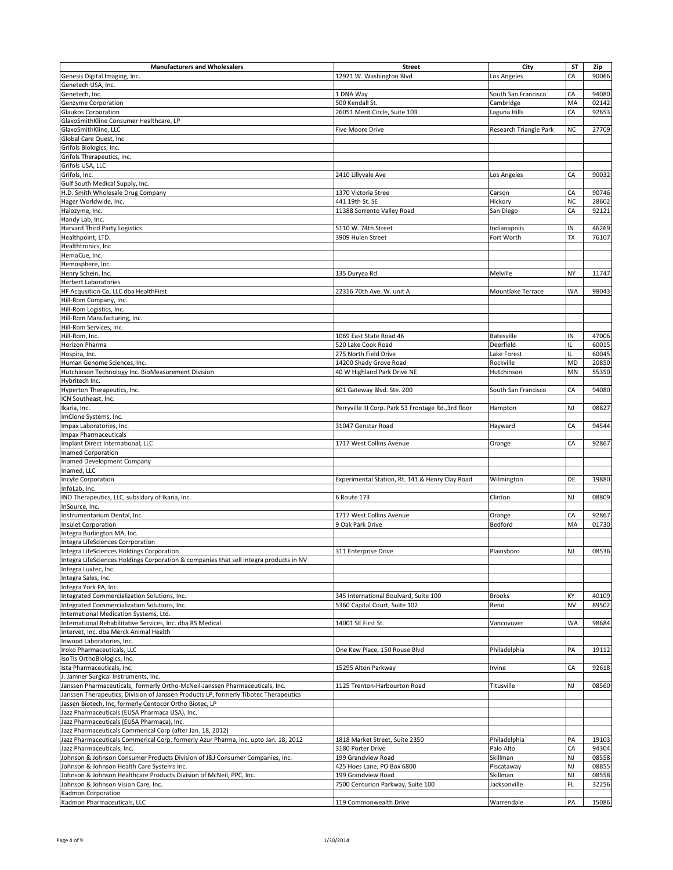| <b>Manufacturers and Wholesalers</b>                                                   | <b>Street</b>                                        | City                   | ST        | Zip   |
|----------------------------------------------------------------------------------------|------------------------------------------------------|------------------------|-----------|-------|
| Genesis Digital Imaging, Inc.                                                          | 12921 W. Washington Blvd                             | Los Angeles            | СA        | 90066 |
| Genetech USA, Inc.                                                                     |                                                      |                        |           |       |
| Genetech, Inc.                                                                         | 1 DNA Way                                            | South San Francisco    | СA        | 94080 |
| Genzyme Corporation                                                                    | 500 Kendall St.                                      | Cambridge              | MA        | 02142 |
| Glaukos Corporation                                                                    | 26051 Merit Circle, Suite 103                        | Laguna Hills           | СA        | 92653 |
| GlaxoSmithKline Consumer Healthcare, LP<br>GlaxoSmithKline, LLC                        | <b>Five Moore Drive</b>                              | Research Triangle Park | <b>NC</b> | 27709 |
| Global Care Quest, Inc.                                                                |                                                      |                        |           |       |
| Grifols Biologics, Inc.                                                                |                                                      |                        |           |       |
| Grifols Therapeutics, Inc.                                                             |                                                      |                        |           |       |
| Grifols USA, LLC                                                                       |                                                      |                        |           |       |
| Grifols, Inc.                                                                          | 2410 Lillyvale Ave                                   | Los Angeles            | СA        | 90032 |
| Gulf South Medical Supply, Inc.                                                        |                                                      |                        |           |       |
| H.D. Smith Wholesale Drug Company                                                      | 1370 Victoria Stree                                  | Carson                 | СA        | 90746 |
| Hager Worldwide, Inc.                                                                  | 441 19th St. SE                                      | Hickory                | NC        | 28602 |
| Halozyme, Inc.                                                                         | 11388 Sorrento Valley Road                           | San Diego              | CA        | 92121 |
| Handy Lab, Inc.                                                                        |                                                      |                        |           |       |
| Harvard Third Party Logistics                                                          | 5110 W. 74th Street                                  | Indianapolis           | IN        | 46269 |
| Healthpoint, LTD.                                                                      | 3909 Hulen Street                                    | Fort Worth             | ТX        | 76107 |
| Healthtronics, Inc.                                                                    |                                                      |                        |           |       |
| HemoCue, Inc.                                                                          |                                                      |                        |           |       |
| Hemosphere, Inc.                                                                       |                                                      |                        |           |       |
| Henry Schein, Inc.                                                                     | 135 Duryea Rd.                                       | Melville               | NΥ        | 11747 |
| <b>Herbert Laboratories</b>                                                            |                                                      |                        |           |       |
| HF Acqusition Co, LLC dba HealthFirst                                                  | 22316 70th Ave. W. unit A                            | Mountlake Terrace      | WA        | 98043 |
| Hill-Rom Company, Inc.<br>Hill-Rom Logistics, Inc.                                     |                                                      |                        |           |       |
| Hill-Rom Manufacturing, Inc.                                                           |                                                      |                        |           |       |
| Hill-Rom Services, Inc.                                                                |                                                      |                        |           |       |
| Hill-Rom, Inc.                                                                         | 1069 East State Road 46                              | Batesville             | IN        | 47006 |
| Horizon Pharma                                                                         | 520 Lake Cook Road                                   | Deerfield              | IL        | 60015 |
| Hospira, Inc.                                                                          | 275 North Field Drive                                | Lake Forest            | IL        | 60045 |
| Human Genome Sciences, Inc.                                                            | 14200 Shady Grove Road                               | Rockville              | MD        | 20850 |
| Hutchinson Technology Inc. BioMeasurement Division                                     | 40 W Highland Park Drive NE                          | Hutchinson             | MN        | 55350 |
| Hybritech Inc.                                                                         |                                                      |                        |           |       |
| Hyperton Therapeutics, Inc.                                                            | 601 Gateway Blvd. Ste. 200                           | South San Francisco    | СA        | 94080 |
| ICN Southeast, Inc.                                                                    |                                                      |                        |           |       |
| Ikaria, Inc.                                                                           | Perryville III Corp. Park 53 Frontage Rd., 3rd floor | Hampton                | NJ        | 08827 |
| ImClone Systems, Inc.                                                                  |                                                      |                        |           |       |
| Impax Laboratories, Inc.                                                               | 31047 Genstar Road                                   | Hayward                | CA        | 94544 |
| <b>Impax Pharmaceuticals</b>                                                           |                                                      |                        |           |       |
| Implant Direct International, LLC                                                      | 1717 West Collins Avenue                             | Orange                 | CA        | 92867 |
| Inamed Corporation                                                                     |                                                      |                        |           |       |
| Inamed Development Company                                                             |                                                      |                        |           |       |
| Inamed, LLC                                                                            |                                                      |                        |           |       |
| <b>Incyte Corporation</b>                                                              | Experimental Station, Rt. 141 & Henry Clay Road      | Wilmington             | DE        | 19880 |
| InfoLab, Inc.                                                                          |                                                      |                        |           |       |
| INO Therapeutics, LLC, subsidary of Ikaria, Inc.                                       | 6 Route 173                                          | Clinton                | NJ        | 08809 |
| InSource, Inc.                                                                         |                                                      |                        |           |       |
| Instrumentarium Dental, Inc.                                                           | 1717 West Collins Avenue                             | Orange                 | CA        | 92867 |
| Insulet Corporation<br>Integra Burlington MA, Inc.                                     | 9 Oak Park Drive                                     | Bedford                | MA        | 01730 |
| Integra LifeSciences Corrporation                                                      |                                                      |                        |           |       |
| Integra LifeSciences Holdings Corporation                                              | 311 Enterprise Drive                                 | Plainsboro             | <b>NJ</b> | 08536 |
| Integra LifeSciences Holdings Corporation & companies that sell Integra products in NV |                                                      |                        |           |       |
| Integra Luxtec, Inc.                                                                   |                                                      |                        |           |       |
| Integra Sales, Inc.                                                                    |                                                      |                        |           |       |
| Integra York PA, Inc.                                                                  |                                                      |                        |           |       |
| Integrated Commercialization Solutions, Inc.                                           | 345 International Boulvard, Suite 100                | <b>Brooks</b>          | ΚY        | 40109 |
| Integrated Commercialization Solutions, Inc.                                           | 5360 Capital Court, Suite 102                        | Reno                   | NV        | 89502 |
| International Medication Systems, Ltd.                                                 |                                                      |                        |           |       |
| International Rehabilitative Services, Inc. dba RS Medical                             | 14001 SE First St.                                   | Vancovuver             | WA        | 98684 |
| Intervet, Inc. dba Merck Animal Health                                                 |                                                      |                        |           |       |
| Inwood Laboratories, Inc.                                                              |                                                      |                        |           |       |
| Iroko Pharmaceuticals, LLC                                                             | One Kew Place, 150 Rouse Blvd                        | Philadelphia           | PA        | 19112 |
| IsoTis OrthoBiologics, Inc.                                                            |                                                      |                        |           |       |
| Ista Pharmaceuticals, Inc.                                                             | 15295 Alton Parkway                                  | Irvine                 | СA        | 92618 |
| J. Jamner Surgical Instruments, Inc.                                                   |                                                      |                        |           |       |
| Janssen Pharmaceuticals, formerly Ortho-McNeil-Janssen Pharmaceuticals, Inc.           | 1125 Trenton-Harbourton Road                         | Titusville             | NJ        | 08560 |
| Janssen Therapeutics, Division of Janssen Products LP, formerly Tibotec Therapeutics   |                                                      |                        |           |       |
| Jassen Biotech, Inc, formerly Centocor Ortho Biotec, LP                                |                                                      |                        |           |       |
| Jazz Pharmaceuticals (EUSA Pharmaca USA), Inc.                                         |                                                      |                        |           |       |
| Jazz Pharmaceuticals (EUSA Pharmaca), Inc.                                             |                                                      |                        |           |       |
| Jazz Pharmaceuticals Commerical Corp (after Jan. 18, 2012)                             |                                                      |                        |           |       |
| Jazz Pharmaceuticals Commerical Corp, formerly Azur Pharma, Inc. upto Jan. 18, 2012    | 1818 Market Street, Suite 2350                       | Philadelphia           | PA        | 19103 |
| Jazz Pharmaceuticals, Inc.                                                             | 3180 Porter Drive                                    | Palo Alto              | CA        | 94304 |
| Johnson & Johnson Consumer Products Division of J&J Consumer Companies, Inc.           | 199 Grandview Road                                   | Skillman               | NJ        | 08558 |
| Johnson & Johnson Health Care Systems Inc.                                             | 425 Hoes Lane, PO Box 6800                           | Piscataway             | NJ        | 08855 |
| Johnson & Johnson Healthcare Products Division of McNeil, PPC, Inc.                    | 199 Grandview Road                                   | Skillman               | NJ        | 08558 |
| Johnson & Johnson Vision Care, Inc.                                                    | 7500 Centurion Parkway, Suite 100                    | Jacksonville           | FL        | 32256 |
| Kadmon Corporation                                                                     |                                                      |                        | PA        |       |
| Kadmon Pharmaceuticals, LLC                                                            | 119 Commonwealth Drive                               | Warrendale             |           | 15086 |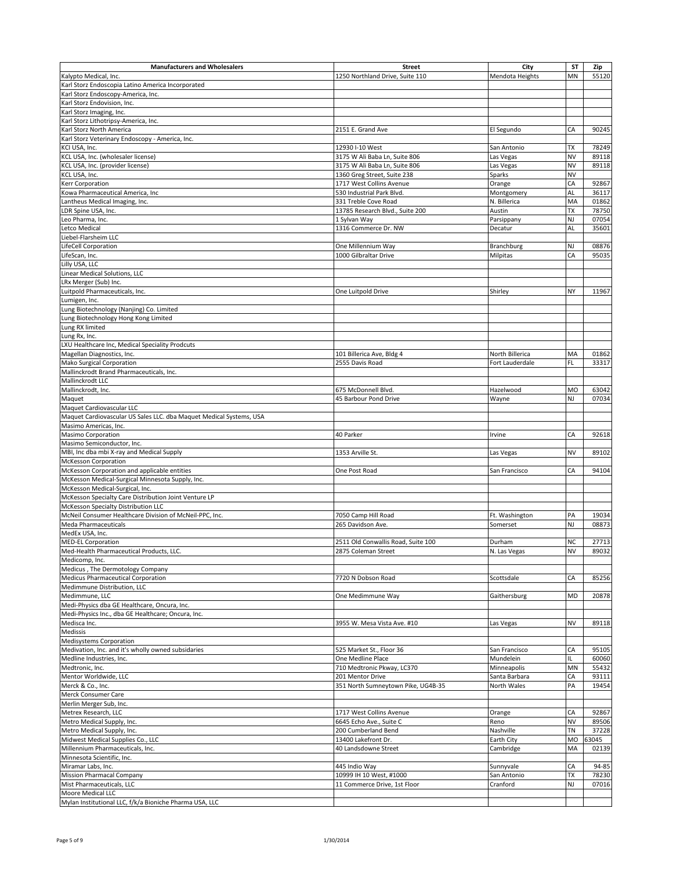| <b>Manufacturers and Wholesalers</b>                                   | <b>Street</b>                                                | City                   | <b>ST</b>       | Zip            |
|------------------------------------------------------------------------|--------------------------------------------------------------|------------------------|-----------------|----------------|
| Kalypto Medical, Inc.                                                  | 1250 Northland Drive, Suite 110                              | Mendota Heights        | ΜN              | 55120          |
| Karl Storz Endoscopia Latino America Incorporated                      |                                                              |                        |                 |                |
| Karl Storz Endoscopy-America, Inc.                                     |                                                              |                        |                 |                |
| Karl Storz Endovision, Inc.                                            |                                                              |                        |                 |                |
| Karl Storz Imaging, Inc.                                               |                                                              |                        |                 |                |
| Karl Storz Lithotripsy-America, Inc.                                   |                                                              |                        |                 |                |
| Karl Storz North America                                               | 2151 E. Grand Ave                                            | El Segundo             | CA              | 90245          |
| Karl Storz Veterinary Endoscopy - America, Inc.                        |                                                              |                        |                 |                |
| KCI USA, Inc.                                                          | 12930 I-10 West                                              | San Antonio            | TХ              | 78249          |
| KCL USA, Inc. (wholesaler license)<br>KCL USA, Inc. (provider license) | 3175 W Ali Baba Ln, Suite 806                                | Las Vegas<br>Las Vegas | NV<br><b>NV</b> | 89118<br>89118 |
| KCL USA, Inc.                                                          | 3175 W Ali Baba Ln, Suite 806<br>1360 Greg Street, Suite 238 | Sparks                 | <b>NV</b>       |                |
| Kerr Corporation                                                       | 1717 West Collins Avenue                                     | Orange                 | CA              | 92867          |
| Kowa Pharmaceutical America, Inc                                       | 530 Industrial Park Blvd                                     | Montgomery             | AL              | 36117          |
| Lantheus Medical Imaging, Inc.                                         | 331 Treble Cove Road                                         | N. Billerica           | MA              | 01862          |
| LDR Spine USA, Inc.                                                    | 13785 Research Blvd., Suite 200                              | Austin                 | ТX              | 78750          |
| Leo Pharma, Inc.                                                       | 1 Sylvan Way                                                 | Parsippany             | NJ              | 07054          |
| Letco Medical                                                          | 1316 Commerce Dr. NW                                         | Decatur                | AL              | 35601          |
| Liebel-Flarsheim LLC                                                   |                                                              |                        |                 |                |
| LifeCell Corporation                                                   | One Millennium Way                                           | Branchburg             | NJ              | 08876          |
| LifeScan, Inc.                                                         | 1000 Gilbraltar Drive                                        | Milpitas               | СA              | 95035          |
| Lilly USA, LLC                                                         |                                                              |                        |                 |                |
| Linear Medical Solutions, LLC                                          |                                                              |                        |                 |                |
| LRx Merger (Sub) Inc.                                                  |                                                              |                        |                 |                |
| Luitpold Pharmaceuticals, Inc.                                         | One Luitpold Drive                                           | Shirley                | NΥ              | 11967          |
| Lumigen, Inc.                                                          |                                                              |                        |                 |                |
| Lung Biotechnology (Nanjing) Co. Limited                               |                                                              |                        |                 |                |
| Lung Biotechnology Hong Kong Limited                                   |                                                              |                        |                 |                |
| Lung RX limited                                                        |                                                              |                        |                 |                |
| Lung Rx, Inc.                                                          |                                                              |                        |                 |                |
| LXU Healthcare Inc, Medical Speciality Prodcuts                        |                                                              |                        |                 |                |
| Magellan Diagnostics, Inc.                                             | 101 Billerica Ave, Bldg 4                                    | North Billerica        | MA              | 01862          |
| Mako Surgical Corporation                                              | 2555 Davis Road                                              | Fort Lauderdale        | FL              | 33317          |
| Mallinckrodt Brand Pharmaceuticals, Inc.                               |                                                              |                        |                 |                |
| Mallinckrodt LLC                                                       |                                                              |                        |                 |                |
| Mallinckrodt, Inc.                                                     | 675 McDonnell Blvd.                                          | Hazelwood              | <b>MO</b>       | 63042          |
| Maquet                                                                 | 45 Barbour Pond Drive                                        | Wayne                  | NJ              | 07034          |
| Maquet Cardiovascular LLC                                              |                                                              |                        |                 |                |
| Maquet Cardiovascular US Sales LLC. dba Maquet Medical Systems, USA    |                                                              |                        |                 |                |
| Masimo Americas, Inc.                                                  |                                                              |                        |                 |                |
| Masimo Corporation                                                     | 40 Parker                                                    | Irvine                 | СA              | 92618          |
| Masimo Semiconductor, Inc.                                             |                                                              |                        |                 |                |
| MBI, Inc dba mbi X-ray and Medical Supply                              | 1353 Arville St.                                             | Las Vegas              | NV              | 89102          |
| McKesson Corporation                                                   |                                                              |                        |                 |                |
| McKesson Corporation and applicable entities                           | One Post Road                                                | San Francisco          | СA              | 94104          |
| McKesson Medical-Surgical Minnesota Supply, Inc.                       |                                                              |                        |                 |                |
| McKesson Medical-Surgical, Inc.                                        |                                                              |                        |                 |                |
| McKesson Specialty Care Distribution Joint Venture LP                  |                                                              |                        |                 |                |
| McKesson Specialty Distribution LLC                                    |                                                              |                        |                 |                |
| McNeil Consumer Healthcare Division of McNeil-PPC, Inc.                | 7050 Camp Hill Road                                          | Ft. Washington         | PA              | 19034          |
| Meda Pharmaceuticals                                                   | 265 Davidson Ave.                                            | Somerset               | NJ              | 08873          |
| MedEx USA, Inc.                                                        |                                                              |                        |                 |                |
| <b>MED-EL Corporation</b>                                              | 2511 Old Conwallis Road, Suite 100                           | Durham                 | NC              | 27713          |
| Med-Health Pharmaceutical Products, LLC.                               | 2875 Coleman Street                                          | N. Las Vegas           | <b>NV</b>       | 89032          |
| Medicomp, Inc.                                                         |                                                              |                        |                 |                |
| Medicus, The Dermotology Company                                       |                                                              |                        |                 |                |
| <b>Medicus Pharmaceutical Corporation</b>                              | 7720 N Dobson Road                                           | Scottsdale             | CA              | 85256          |
| Medimmune Distribution, LLC                                            |                                                              |                        |                 |                |
| Medimmune, LLC                                                         | One Medimmune Way                                            | Gaithersburg           | MD              | 20878          |
| Medi-Physics dba GE Healthcare, Oncura, Inc.                           |                                                              |                        |                 |                |
| Medi-Physics Inc., dba GE Healthcare; Oncura, Inc.                     |                                                              |                        |                 |                |
| Medisca Inc.                                                           | 3955 W. Mesa Vista Ave. #10                                  | Las Vegas              | <b>NV</b>       | 89118          |
| Medissis<br>Medisystems Corporation                                    |                                                              |                        |                 |                |
| Medivation, Inc. and it's wholly owned subsidaries                     | 525 Market St., Floor 36                                     | San Francisco          | СA              | 95105          |
| Medline Industries, Inc.                                               | One Medline Place                                            | Mundelein              | IL              | 60060          |
| Medtronic, Inc.                                                        | 710 Medtronic Pkway, LC370                                   | Minneapolis            | ΜN              | 55432          |
| Mentor Worldwide, LLC                                                  | 201 Mentor Drive                                             | Santa Barbara          | CA              | 93111          |
| Merck & Co., Inc.                                                      | 351 North Sumneytown Pike, UG4B-35                           | North Wales            | PA              | 19454          |
| Merck Consumer Care                                                    |                                                              |                        |                 |                |
| Merlin Merger Sub, Inc.                                                |                                                              |                        |                 |                |
| Metrex Research, LLC                                                   | 1717 West Collins Avenue                                     | Orange                 | CA              | 92867          |
| Metro Medical Supply, Inc.                                             | 6645 Echo Ave., Suite C                                      | Reno                   | <b>NV</b>       | 89506          |
| Metro Medical Supply, Inc.                                             | 200 Cumberland Bend                                          | Nashville              | ΤN              | 37228          |
| Midwest Medical Supplies Co., LLC                                      | 13400 Lakefront Dr.                                          | Earth City             | MO              | 3045           |
| Millennium Pharmaceuticals, Inc.                                       | 40 Landsdowne Street                                         | Cambridge              | MA              | 02139          |
| Minnesota Scientific, Inc.                                             |                                                              |                        |                 |                |
| Miramar Labs, Inc.                                                     | 445 Indio Way                                                | Sunnyvale              | СA              | 94-85          |
| <b>Mission Pharmacal Company</b>                                       | 10999 IH 10 West, #1000                                      | San Antonio            | TX              | 78230          |
| Mist Pharmaceuticals, LLC                                              | 11 Commerce Drive, 1st Floor                                 | Cranford               | NJ              | 07016          |
| Moore Medical LLC                                                      |                                                              |                        |                 |                |
| Mylan Institutional LLC, f/k/a Bioniche Pharma USA, LLC                |                                                              |                        |                 |                |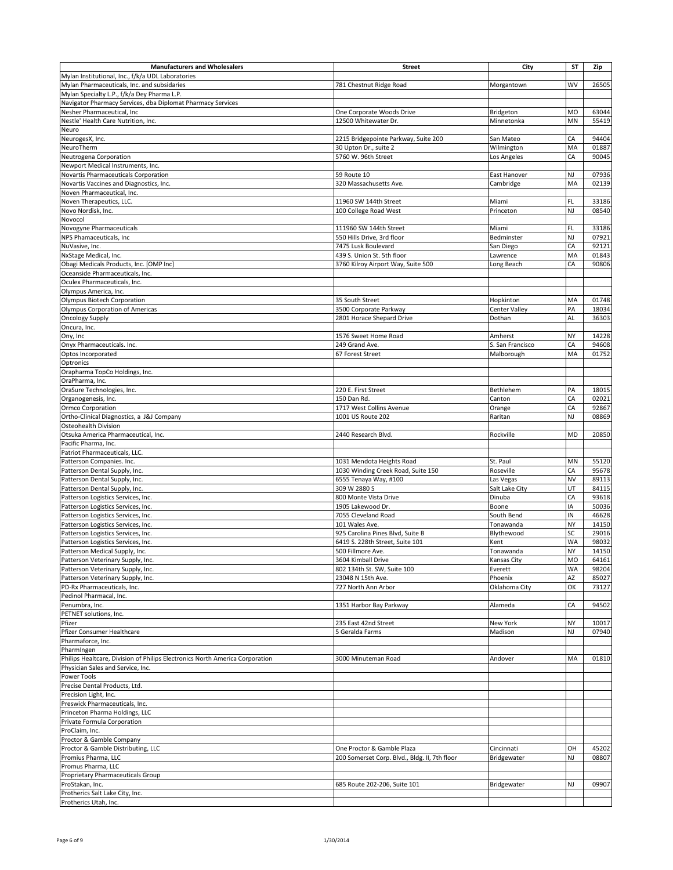| <b>Manufacturers and Wholesalers</b>                                                                       | <b>Street</b>                                                   | City                     | <b>ST</b>       | Zip            |
|------------------------------------------------------------------------------------------------------------|-----------------------------------------------------------------|--------------------------|-----------------|----------------|
| Mylan Institutional, Inc., f/k/a UDL Laboratories                                                          |                                                                 |                          |                 |                |
| Mylan Pharmaceuticals, Inc. and subsidaries                                                                | 781 Chestnut Ridge Road                                         | Morgantown               | WV              | 26505          |
| Mylan Specialty L.P., f/k/a Dey Pharma L.P.<br>Navigator Pharmacy Services, dba Diplomat Pharmacy Services |                                                                 |                          |                 |                |
| Nesher Pharmaceutical, Inc                                                                                 | One Corporate Woods Drive                                       | Bridgeton                | <b>MO</b>       | 63044          |
| Nestle' Health Care Nutrition, Inc.                                                                        | 12500 Whitewater Dr.                                            | Minnetonka               | MN              | 55419          |
| Neuro                                                                                                      |                                                                 |                          |                 |                |
| NeurogesX, Inc.                                                                                            | 2215 Bridgepointe Parkway, Suite 200                            | San Mateo                | СA              | 94404          |
| NeuroTherm                                                                                                 | 30 Upton Dr., suite 2                                           | Wilmington               | MA              | 01887          |
| Neutrogena Corporation                                                                                     | 5760 W. 96th Street                                             | Los Angeles              | CA              | 90045          |
| Newport Medical Instruments, Inc.                                                                          |                                                                 |                          |                 |                |
| Novartis Pharmaceuticals Corporation                                                                       | 59 Route 10                                                     | East Hanover             | NJ              | 07936          |
| Novartis Vaccines and Diagnostics, Inc.<br>Noven Pharmaceutical, Inc.                                      | 320 Massachusetts Ave.                                          | Cambridge                | MA              | 02139          |
| Noven Therapeutics, LLC.                                                                                   | 11960 SW 144th Street                                           | Miami                    | FL              | 33186          |
| Novo Nordisk, Inc.                                                                                         | 100 College Road West                                           | Princeton                | NJ              | 08540          |
| Novocol                                                                                                    |                                                                 |                          |                 |                |
| Novogyne Pharmaceuticals                                                                                   | 111960 SW 144th Street                                          | Miami                    | FL              | 33186          |
| NPS Phamaceuticals, Inc                                                                                    | 550 Hills Drive, 3rd floor                                      | Bedminster               | NJ              | 07921          |
| NuVasive, Inc.                                                                                             | 7475 Lusk Boulevard                                             | San Diego                | CA              | 92121          |
| NxStage Medical, Inc.                                                                                      | 439 S. Union St. 5th floor                                      | Lawrence                 | MA              | 01843          |
| Obagi Medicals Products, Inc. [OMP Inc]                                                                    | 3760 Kilroy Airport Way, Suite 500                              | Long Beach               | СA              | 90806          |
| Oceanside Pharmaceuticals, Inc.<br>Oculex Pharmaceuticals, Inc.                                            |                                                                 |                          |                 |                |
| Olympus America, Inc.                                                                                      |                                                                 |                          |                 |                |
| Olympus Biotech Corporation                                                                                | 35 South Street                                                 | Hopkinton                | МA              | 01748          |
| Olympus Corporation of Americas                                                                            | 3500 Corporate Parkway                                          | Center Valley            | PA              | 18034          |
| <b>Oncology Supply</b>                                                                                     | 2801 Horace Shepard Drive                                       | Dothan                   | AL              | 36303          |
| Oncura, Inc.                                                                                               |                                                                 |                          |                 |                |
| Ony, Inc                                                                                                   | 1576 Sweet Home Road                                            | Amherst                  | <b>NY</b>       | 14228          |
| Onyx Pharmaceuticals. Inc.                                                                                 | 249 Grand Ave.                                                  | S. San Francisco         | СA              | 94608          |
| Optos Incorporated                                                                                         | 67 Forest Street                                                | Malborough               | MA              | 01752          |
| Optronics                                                                                                  |                                                                 |                          |                 |                |
| Orapharma TopCo Holdings, Inc.<br>OraPharma, Inc.                                                          |                                                                 |                          |                 |                |
| OraSure Technologies, Inc.                                                                                 | 220 E. First Street                                             | Bethlehem                | PA              | 18015          |
| Organogenesis, Inc.                                                                                        | 150 Dan Rd.                                                     | Canton                   | CA              | 02021          |
| Ormco Corporation                                                                                          | 1717 West Collins Avenue                                        | Orange                   | CA              | 92867          |
| Ortho-Clinical Diagnostics, a J&J Company                                                                  | 1001 US Route 202                                               | Raritan                  | NJ              | 08869          |
| Osteohealth Division                                                                                       |                                                                 |                          |                 |                |
| Otsuka America Pharmaceutical, Inc.                                                                        | 2440 Research Blvd.                                             | Rockville                | MD              | 20850          |
| Pacific Pharma, Inc.                                                                                       |                                                                 |                          |                 |                |
| Patriot Pharmaceuticals, LLC.                                                                              |                                                                 |                          |                 |                |
| Patterson Companies. Inc.<br>Patterson Dental Supply, Inc.                                                 | 1031 Mendota Heights Road<br>1030 Winding Creek Road, Suite 150 | St. Paul<br>Roseville    | MN<br>CA        | 55120<br>95678 |
| Patterson Dental Supply, Inc.                                                                              | 6555 Tenaya Way, #100                                           | Las Vegas                | NV              | 89113          |
| Patterson Dental Supply, Inc.                                                                              | 309 W 2880 S                                                    | Salt Lake City           | UT              | 84115          |
| Patterson Logistics Services, Inc.                                                                         | 800 Monte Vista Drive                                           | Dinuba                   | СA              | 93618          |
| Patterson Logistics Services, Inc.                                                                         | 1905 Lakewood Dr.                                               | Boone                    | ΙA              | 50036          |
| Patterson Logistics Services, Inc.                                                                         | 7055 Cleveland Road                                             | South Bend               | IN              | 46628          |
| Patterson Logistics Services, Inc.                                                                         | 101 Wales Ave.                                                  | Tonawanda                | NΥ              | 14150          |
| Patterson Logistics Services, Inc.                                                                         | 925 Carolina Pines Blvd, Suite B                                | Blythewood               | SC              | 29016          |
| Patterson Logistics Services, Inc.                                                                         | 6419 S. 228th Street, Suite 101                                 | Kent                     | WA              | 98032          |
| Patterson Medical Supply, Inc.<br>Patterson Veterinary Supply, Inc.                                        | 500 Fillmore Ave.<br>3604 Kimball Drive                         | Tonawanda<br>Kansas City | <b>NY</b><br>MO | 14150<br>64161 |
| Patterson Veterinary Supply, Inc.                                                                          | 802 134th St. SW, Suite 100                                     | Everett                  | WA              | 98204          |
| Patterson Veterinary Supply, Inc.                                                                          | 23048 N 15th Ave.                                               | Phoenix                  | AZ              | 85027          |
| PD-Rx Pharmaceuticals, Inc.                                                                                | 727 North Ann Arbor                                             | Oklahoma City            | ОΚ              | 73127          |
| Pedinol Pharmacal, Inc.                                                                                    |                                                                 |                          |                 |                |
| Penumbra, Inc.                                                                                             | 1351 Harbor Bay Parkway                                         | Alameda                  | СA              | 94502          |
| PETNET solutions, Inc.                                                                                     |                                                                 |                          |                 |                |
| Pfizer                                                                                                     | 235 East 42nd Street                                            | New York                 | <b>NY</b>       | 10017          |
| Pfizer Consumer Healthcare                                                                                 | 5 Geralda Farms                                                 | Madison                  | NJ              | 07940          |
| Pharmaforce, Inc.<br>PharmIngen                                                                            |                                                                 |                          |                 |                |
| Philips Healtcare, Division of Philips Electronics North America Corporation                               | 3000 Minuteman Road                                             | Andover                  | MA              | 01810          |
| Physician Sales and Service, Inc.                                                                          |                                                                 |                          |                 |                |
| Power Tools                                                                                                |                                                                 |                          |                 |                |
| Precise Dental Products, Ltd.                                                                              |                                                                 |                          |                 |                |
| Precision Light, Inc.                                                                                      |                                                                 |                          |                 |                |
| Preswick Pharmaceuticals, Inc.                                                                             |                                                                 |                          |                 |                |
| Princeton Pharma Holdings, LLC                                                                             |                                                                 |                          |                 |                |
| Private Formula Corporation<br>ProClaim, Inc.                                                              |                                                                 |                          |                 |                |
| Proctor & Gamble Company                                                                                   |                                                                 |                          |                 |                |
| Proctor & Gamble Distributing, LLC                                                                         | One Proctor & Gamble Plaza                                      | Cincinnati               | ΟН              | 45202          |
| Promius Pharma, LLC                                                                                        | 200 Somerset Corp. Blvd., Bldg. II, 7th floor                   | Bridgewater              | NJ              | 08807          |
| Promus Pharma, LLC                                                                                         |                                                                 |                          |                 |                |
| Proprietary Pharmaceuticals Group                                                                          |                                                                 |                          |                 |                |
| ProStakan, Inc.                                                                                            | 685 Route 202-206, Suite 101                                    | Bridgewater              | NJ              | 09907          |
| Protherics Salt Lake City, Inc.                                                                            |                                                                 |                          |                 |                |
| Protherics Utah, Inc.                                                                                      |                                                                 |                          |                 |                |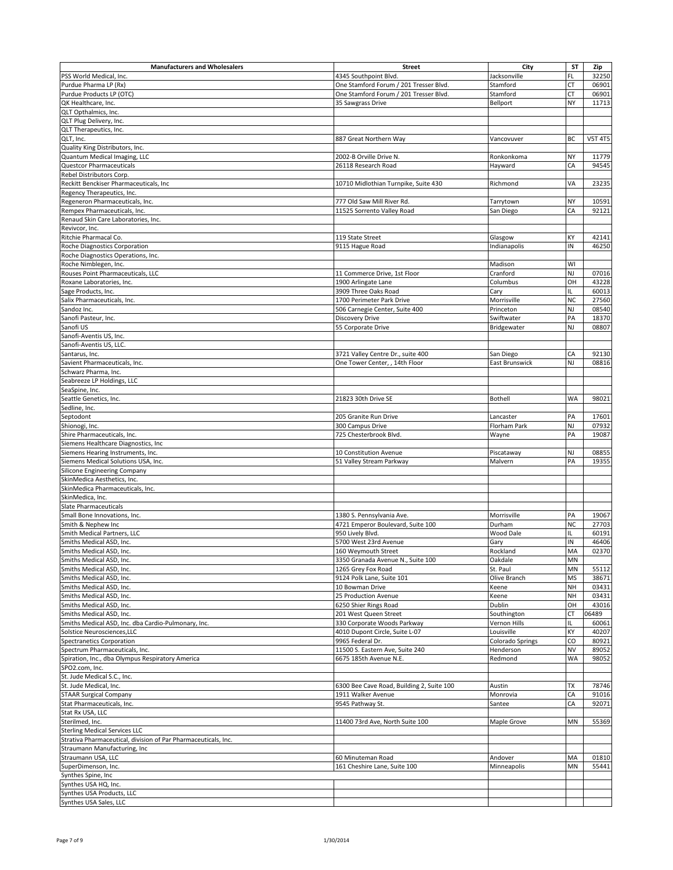| <b>Manufacturers and Wholesalers</b>                           | <b>Street</b>                                  | City                  | ST       | Zip            |
|----------------------------------------------------------------|------------------------------------------------|-----------------------|----------|----------------|
| PSS World Medical, Inc.                                        | 4345 Southpoint Blvd.                          | Jacksonville          | FL       | 32250          |
| Purdue Pharma LP (Rx)                                          | One Stamford Forum / 201 Tresser Blvd.         | Stamford              | СT       | 06901          |
| Purdue Products LP (OTC)                                       | One Stamford Forum / 201 Tresser Blvd.         | Stamford              | CТ       | 06901          |
| QK Healthcare, Inc.                                            | 35 Sawgrass Drive                              | Bellport              | NΥ       | 11713          |
| QLT Opthalmics, Inc.                                           |                                                |                       |          |                |
| QLT Plug Delivery, Inc.                                        |                                                |                       |          |                |
| QLT Therapeutics, Inc.                                         |                                                |                       |          |                |
| QLT, Inc.                                                      | 887 Great Northern Way                         | Vancovuver            | BC       | <b>V5T 4T5</b> |
| Quality King Distributors, Inc.                                |                                                |                       |          |                |
| Quantum Medical Imaging, LLC                                   | 2002-B Orville Drive N.<br>26118 Research Road | Ronkonkoma<br>Hayward | NΥ<br>СA | 11779<br>94545 |
| Questcor Pharmaceuticals<br>Rebel Distributors Corp.           |                                                |                       |          |                |
| Reckitt Benckiser Pharmaceuticals, Inc                         | 10710 Midlothian Turnpike, Suite 430           | Richmond              | VA       | 23235          |
| Regency Therapeutics, Inc.                                     |                                                |                       |          |                |
| Regeneron Pharmaceuticals, Inc.                                | 777 Old Saw Mill River Rd.                     | Tarrytown             | NY       | 10591          |
| Rempex Pharmaceuticals, Inc.                                   | 11525 Sorrento Valley Road                     | San Diego             | СA       | 92121          |
| Renaud Skin Care Laboratories, Inc.                            |                                                |                       |          |                |
| Revivcor, Inc.                                                 |                                                |                       |          |                |
| Ritchie Pharmacal Co.                                          | 119 State Street                               | Glasgow               | ΚY       | 42141          |
| Roche Diagnostics Corporation                                  | 9115 Hague Road                                | Indianapolis          | ΙN       | 46250          |
| Roche Diagnostics Operations, Inc.                             |                                                |                       |          |                |
| Roche Nimblegen, Inc.                                          |                                                | Madison               | WI       |                |
| Rouses Point Pharmaceuticals, LLC                              | 11 Commerce Drive, 1st Floor                   | Cranford              | NJ       | 07016          |
| Roxane Laboratories, Inc.                                      | 1900 Arlingate Lane                            | Columbus              | ΟН       | 43228          |
| Sage Products, Inc.                                            | 3909 Three Oaks Road                           | Cary                  | IL       | 60013          |
| Salix Pharmaceuticals, Inc.                                    | 1700 Perimeter Park Drive                      | Morrisville           | NC       | 27560          |
| Sandoz Inc.                                                    | 506 Carnegie Center, Suite 400                 | Princeton             | NJ       | 08540          |
| Sanofi Pasteur, Inc.                                           | <b>Discovery Drive</b>                         | Swiftwater            | PA       | 18370          |
| Sanofi US                                                      | 55 Corporate Drive                             | Bridgewater           | NJ       | 08807          |
| Sanofi-Aventis US, Inc.                                        |                                                |                       |          |                |
| Sanofi-Aventis US, LLC.                                        |                                                |                       |          |                |
| Santarus, Inc.                                                 | 3721 Valley Centre Dr., suite 400              | San Diego             | СA       | 92130          |
| Savient Pharmaceuticals, Inc.                                  | One Tower Center, , 14th Floor                 | East Brunswick        | NJ       | 08816          |
| Schwarz Pharma, Inc.                                           |                                                |                       |          |                |
| Seabreeze LP Holdings, LLC                                     |                                                |                       |          |                |
| SeaSpine, Inc.                                                 |                                                |                       |          |                |
| Seattle Genetics, Inc.                                         | 21823 30th Drive SE                            | Bothell               | WA       | 98021          |
| Sedline, Inc.                                                  |                                                |                       |          |                |
| Septodont                                                      | 205 Granite Run Drive                          | Lancaster             | PA       | 17601          |
| Shionogi, Inc.                                                 | 300 Campus Drive                               | Florham Park          | NJ       | 07932          |
| Shire Pharmaceuticals, Inc.                                    | 725 Chesterbrook Blvd.                         | Wayne                 | PA       | 19087          |
| Siemens Healthcare Diagnostics, Inc.                           |                                                |                       |          |                |
| Siemens Hearing Instruments, Inc.                              | 10 Constitution Avenue                         | Piscataway            | NJ       | 08855          |
| Siemens Medical Solutions USA, Inc.                            | 51 Valley Stream Parkway                       | Malvern               | PA       | 19355          |
| Silicone Engineering Company                                   |                                                |                       |          |                |
| SkinMedica Aesthetics, Inc.                                    |                                                |                       |          |                |
| SkinMedica Pharmaceuticals, Inc.                               |                                                |                       |          |                |
| SkinMedica, Inc.<br>Slate Pharmaceuticals                      |                                                |                       |          |                |
| Small Bone Innovations, Inc.                                   | 1380 S. Pennsylvania Ave.                      | Morrisville           | PA       | 19067          |
| Smith & Nephew Inc                                             | 4721 Emperor Boulevard, Suite 100              | Durham                | NC       | 27703          |
| Smith Medical Partners, LLC                                    | 950 Lively Blvd.                               | Wood Dale             | IL       | 60191          |
| Smiths Medical ASD, Inc.                                       | 5700 West 23rd Avenue                          | Gary                  | ΙN       | 46406          |
| Smiths Medical ASD, Inc.                                       | 160 Weymouth Street                            | Rockland              | MA       | 02370          |
| Smiths Medical ASD, Inc.                                       | 3350 Granada Avenue N., Suite 100              | Oakdale               | MN       |                |
| Smiths Medical ASD, Inc.                                       | 1265 Grey Fox Road                             | St. Paul              | ΜN       | 55112          |
| Smiths Medical ASD, Inc.                                       | 9124 Polk Lane, Suite 101                      | Olive Branch          | MS       | 38671          |
| Smiths Medical ASD, Inc.                                       | 10 Bowman Drive                                | Keene                 | NH       | 03431          |
| Smiths Medical ASD, Inc.                                       | 25 Production Avenue                           | Keene                 | NΗ       | 03431          |
| Smiths Medical ASD, Inc.                                       | 6250 Shier Rings Road                          | Dublin                | ΟН       | 43016          |
| Smiths Medical ASD, Inc.                                       | 201 West Queen Street                          | Southington           | СT       | 06489          |
| Smiths Medical ASD, Inc. dba Cardio-Pulmonary, Inc.            | 330 Corporate Woods Parkway                    | Vernon Hills          | IL       | 60061          |
| Solstice Neurosciences, LLC                                    | 4010 Dupont Circle, Suite L-07                 | Louisville            | ΚY       | 40207          |
| Spectranetics Corporation                                      | 9965 Federal Dr.                               | Colorado Springs      | CO       | 80921          |
| Spectrum Pharmaceuticals, Inc.                                 | 11500 S. Eastern Ave, Suite 240                | Henderson             | NV       | 89052          |
| Spiration, Inc., dba Olympus Respiratory America               | 6675 185th Avenue N.E.                         | Redmond               | WA       | 98052          |
| SPO2.com, Inc.                                                 |                                                |                       |          |                |
| St. Jude Medical S.C., Inc.                                    |                                                |                       |          |                |
| St. Jude Medical, Inc.                                         | 6300 Bee Cave Road, Building 2, Suite 100      | Austin                | TХ       | 78746          |
| <b>STAAR Surgical Company</b>                                  | 1911 Walker Avenue                             | Monrovia              | СA       | 91016          |
| Stat Pharmaceuticals, Inc.                                     | 9545 Pathway St.                               | Santee                | CА       | 92071          |
| Stat Rx USA, LLC                                               |                                                |                       |          |                |
| Sterilmed, Inc.                                                | 11400 73rd Ave, North Suite 100                | Maple Grove           | ΜN       | 55369          |
| <b>Sterling Medical Services LLC</b>                           |                                                |                       |          |                |
| Strativa Pharmaceutical, division of Par Pharmaceuticals, Inc. |                                                |                       |          |                |
| Straumann Manufacturing, Inc                                   |                                                |                       |          |                |
| Straumann USA, LLC                                             | 60 Minuteman Road                              | Andover               | MA       | 01810          |
| SuperDimenson, Inc.                                            | 161 Cheshire Lane, Suite 100                   | Minneapolis           | ΜN       | 55441          |
| Synthes Spine, Inc                                             |                                                |                       |          |                |
| Synthes USA HQ, Inc.                                           |                                                |                       |          |                |
| Synthes USA Products, LLC                                      |                                                |                       |          |                |
| Synthes USA Sales, LLC                                         |                                                |                       |          |                |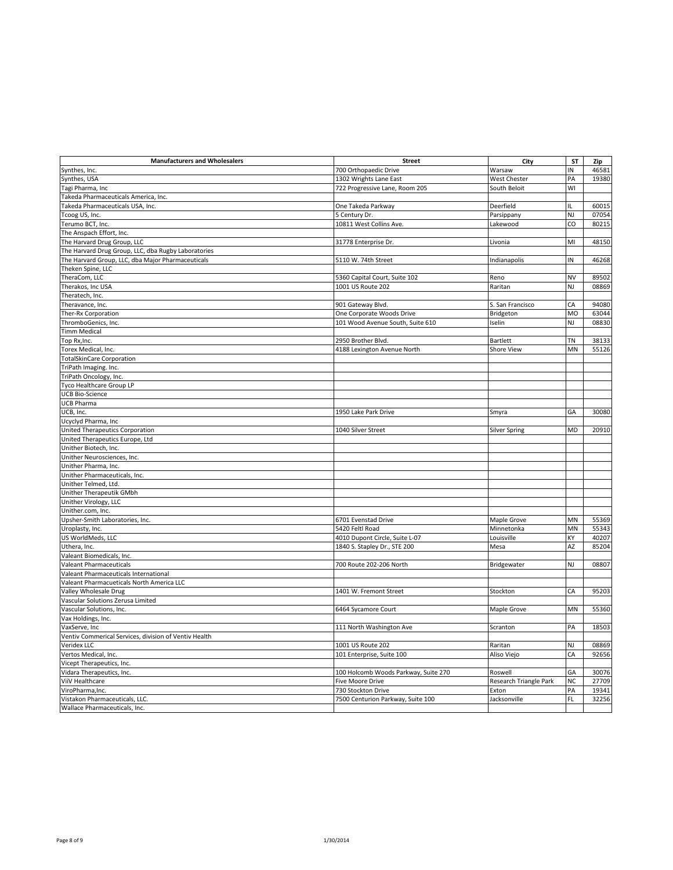| <b>Manufacturers and Wholesalers</b>                                 | <b>Street</b>                                            | City                              | ST        | Zip   |
|----------------------------------------------------------------------|----------------------------------------------------------|-----------------------------------|-----------|-------|
| Synthes, Inc.                                                        | 700 Orthopaedic Drive                                    | Warsaw                            | IN        | 46581 |
| Synthes, USA                                                         | 1302 Wrights Lane East                                   | <b>West Chester</b>               | PA        | 19380 |
| Tagi Pharma, Inc                                                     | 722 Progressive Lane, Room 205                           | South Beloit                      | WI        |       |
| Takeda Pharmaceuticals America, Inc.                                 |                                                          |                                   |           |       |
| Takeda Pharmaceuticals USA, Inc.                                     | One Takeda Parkway                                       | Deerfield                         | IL        | 60015 |
| Tcoog US, Inc.                                                       | 5 Century Dr.                                            | Parsippany                        | NJ        | 07054 |
| Terumo BCT, Inc.                                                     | 10811 West Collins Ave.                                  | Lakewood                          | CO        | 80215 |
| The Anspach Effort, Inc.                                             |                                                          |                                   |           |       |
| The Harvard Drug Group, LLC                                          | 31778 Enterprise Dr.                                     | Livonia                           | MI        | 48150 |
| The Harvard Drug Group, LLC, dba Rugby Laboratories                  |                                                          |                                   |           |       |
| The Harvard Group, LLC, dba Major Pharmaceuticals                    | 5110 W. 74th Street                                      | Indianapolis                      | IN        | 46268 |
| Theken Spine, LLC                                                    |                                                          |                                   |           |       |
| TheraCom, LLC                                                        | 5360 Capital Court, Suite 102                            | Reno                              | NV        | 89502 |
| Therakos, Inc USA                                                    | 1001 US Route 202                                        | Raritan                           | NJ        | 08869 |
| Theratech, Inc.                                                      |                                                          |                                   |           |       |
| Theravance, Inc.                                                     | 901 Gateway Blvd.                                        | S. San Francisco                  | CA        | 94080 |
| Ther-Rx Corporation                                                  | One Corporate Woods Drive                                | Bridgeton                         | <b>MO</b> | 63044 |
| ThromboGenics, Inc.                                                  | 101 Wood Avenue South, Suite 610                         | Iselin                            | NJ        | 08830 |
| <b>Timm Medical</b>                                                  |                                                          |                                   |           |       |
| Top Rx, Inc.                                                         | 2950 Brother Blvd.                                       | <b>Bartlett</b>                   | ΤN        | 38133 |
| Torex Medical, Inc.                                                  | 4188 Lexington Avenue North                              | Shore View                        | MN        | 55126 |
| <b>TotalSkinCare Corporation</b>                                     |                                                          |                                   |           |       |
| TriPath Imaging. Inc.                                                |                                                          |                                   |           |       |
| TriPath Oncology, Inc.                                               |                                                          |                                   |           |       |
| Tyco Healthcare Group LP                                             |                                                          |                                   |           |       |
| <b>UCB Bio-Science</b>                                               |                                                          |                                   |           |       |
| UCB Pharma                                                           |                                                          |                                   |           |       |
| UCB, Inc.                                                            | 1950 Lake Park Drive                                     | Smyra                             | GA        | 30080 |
| Ucyclyd Pharma, Inc                                                  |                                                          |                                   |           |       |
| United Therapeutics Corporation                                      | 1040 Silver Street                                       | <b>Silver Spring</b>              | <b>MD</b> | 20910 |
| United Therapeutics Europe, Ltd                                      |                                                          |                                   |           |       |
| Unither Biotech, Inc.                                                |                                                          |                                   |           |       |
| Unither Neurosciences, Inc.                                          |                                                          |                                   |           |       |
| Unither Pharma, Inc.                                                 |                                                          |                                   |           |       |
| Unither Pharmaceuticals, Inc.                                        |                                                          |                                   |           |       |
| Unither Telmed, Ltd                                                  |                                                          |                                   |           |       |
| Unither Therapeutik GMbh                                             |                                                          |                                   |           |       |
| Unither Virology, LLC                                                |                                                          |                                   |           |       |
| Unither.com, Inc.                                                    |                                                          |                                   |           |       |
| Upsher-Smith Laboratories, Inc.                                      | 6701 Evenstad Drive                                      | Maple Grove                       | MN        | 55369 |
| Uroplasty, Inc.                                                      | 5420 Feltl Road                                          | Minnetonka                        | MN        | 55343 |
| US WorldMeds, LLC                                                    | 4010 Dupont Circle, Suite L-07                           | Louisville                        | KY        | 40207 |
| Uthera, Inc.                                                         | 1840 S. Stapley Dr., STE 200                             | Mesa                              | AZ        | 85204 |
| Valeant Biomedicals, Inc.                                            |                                                          |                                   |           |       |
| <b>Valeant Pharmaceuticals</b>                                       | 700 Route 202-206 North                                  | Bridgewater                       | NJ        | 08807 |
| Valeant Pharmaceuticals International                                |                                                          |                                   |           |       |
| Valeant Pharmacueticals North America LLC                            |                                                          |                                   |           |       |
| Valley Wholesale Drug                                                | 1401 W. Fremont Street                                   | Stockton                          | СA        | 95203 |
| Vascular Solutions Zerusa Limited                                    |                                                          |                                   | MN        |       |
| Vascular Solutions, Inc.                                             | 6464 Sycamore Court                                      | Maple Grove                       |           | 55360 |
| Vax Holdings, Inc.<br>VaxServe, Inc                                  |                                                          |                                   | PA        | 18503 |
|                                                                      | 111 North Washington Ave                                 | Scranton                          |           |       |
| Ventiv Commerical Services, division of Ventiv Health<br>Veridex LLC | 1001 US Route 202                                        | Raritan                           | NJ        | 08869 |
| Vertos Medical, Inc.                                                 | 101 Enterprise, Suite 100                                | Aliso Viejo                       | CA        | 92656 |
| Vicept Therapeutics, Inc.                                            |                                                          |                                   |           |       |
| Vidara Therapeutics, Inc.                                            |                                                          |                                   | GA        | 30076 |
| ViiV Healthcare                                                      | 100 Holcomb Woods Parkway, Suite 270<br>Five Moore Drive | Roswell<br>Research Triangle Park | <b>NC</b> | 27709 |
| ViroPharma, Inc.                                                     | 730 Stockton Drive                                       | Exton                             | PA        | 19341 |
| Vistakon Pharmaceuticals, LLC.                                       | 7500 Centurion Parkway, Suite 100                        | Jacksonville                      | FL        | 32256 |
| Wallace Pharmaceuticals, Inc.                                        |                                                          |                                   |           |       |
|                                                                      |                                                          |                                   |           |       |